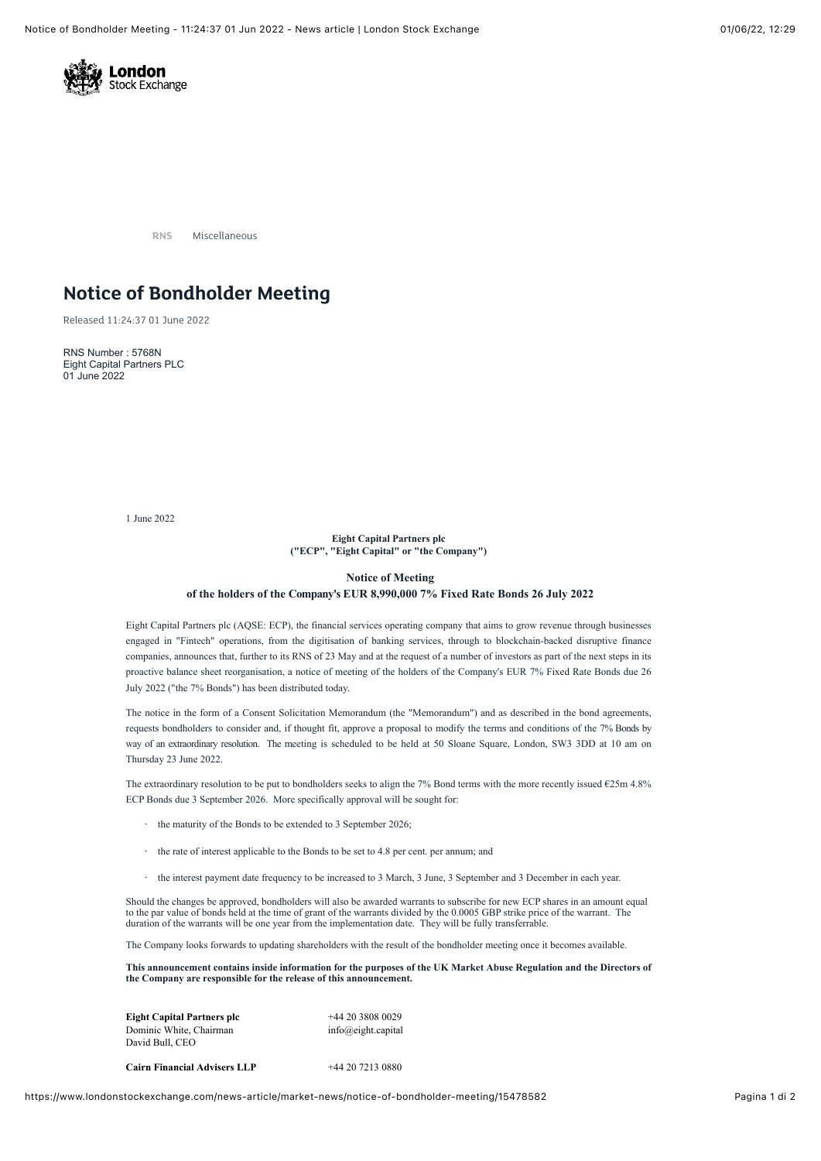

**RNS** Miscellaneous

# **Notice of Bondholder Meeting**

Released 11:24:37 01 June 2022

RNS Number : 5768N Eight Capital Partners PLC 01 June 2022

1 June 2022

### **Eight Capital Partners plc ("ECP", "Eight Capital" or "the Company")**

## **Notice of Meeting of the holders of the Company's EUR 8,990,000 7% Fixed Rate Bonds 26 July 2022**

Eight Capital Partners plc (AQSE: ECP), the financial services operating company that aims to grow revenue through businesses engaged in "Fintech" operations, from the digitisation of banking services, through to blockchain-backed disruptive finance companies, announces that, further to its RNS of 23 May and at the request of a number of investors as part of the next steps in its proactive balance sheet reorganisation, a notice of meeting of the holders of the Company's EUR 7% Fixed Rate Bonds due 26 July 2022 ("the 7% Bonds") has been distributed today.

The notice in the form of a Consent Solicitation Memorandum (the "Memorandum") and as described in the bond agreements, requests bondholders to consider and, if thought fit, approve a proposal to modify the terms and conditions of the 7% Bonds by way of an extraordinary resolution. The meeting is scheduled to be held at 50 Sloane Square, London, SW3 3DD at 10 am on Thursday 23 June 2022.

The extraordinary resolution to be put to bondholders seeks to align the 7% Bond terms with the more recently issued  $\epsilon$ 25m 4.8% ECP Bonds due 3 September 2026. More specifically approval will be sought for:

- · the maturity of the Bonds to be extended to 3 September 2026;
- · the rate of interest applicable to the Bonds to be set to 4.8 per cent. per annum; and
- · the interest payment date frequency to be increased to 3 March, 3 June, 3 September and 3 December in each year.

Should the changes be approved, bondholders will also be awarded warrants to subscribe for new ECP shares in an amount equal to the par value of bonds held at the time of grant of the warrants divided by the 0.0005 GBP strike price of the warrant. The duration of the warrants will be one year from the implementation date. They will be fully transferrable.

The Company looks forwards to updating shareholders with the result of the bondholder meeting once it becomes available.

**This announcement contains inside information for the purposes of the UK Market Abuse Regulation and the Directors of the Company are responsible for the release of this announcement.**

| <b>Eight Capital Partners plc</b> | $+442038080029$    |
|-----------------------------------|--------------------|
| Dominic White, Chairman           | info@eight.capital |
| David Bull. CEO                   |                    |
|                                   |                    |

**Cairn Financial Advisers LLP** +44 20 7213 0880